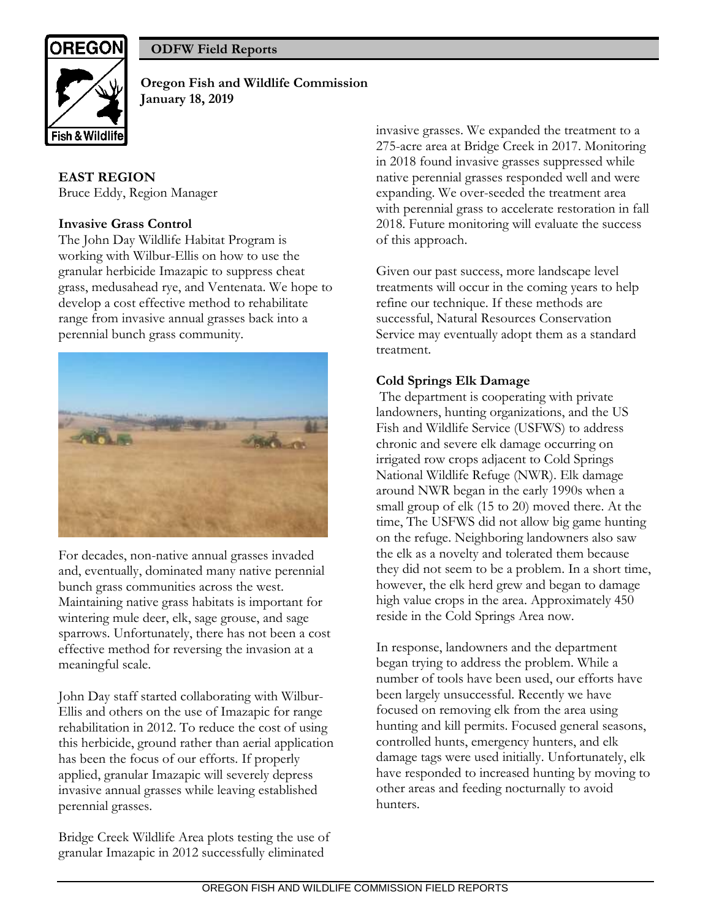

**ODFW Field Reports** 

**Oregon Fish and Wildlife Commission January 18, 2019**

# **EAST REGION**

Bruce Eddy, Region Manager

### **Invasive Grass Control**

The John Day Wildlife Habitat Program is working with Wilbur-Ellis on how to use the granular herbicide Imazapic to suppress cheat grass, medusahead rye, and Ventenata. We hope to develop a cost effective method to rehabilitate range from invasive annual grasses back into a perennial bunch grass community.



For decades, non-native annual grasses invaded and, eventually, dominated many native perennial bunch grass communities across the west. Maintaining native grass habitats is important for wintering mule deer, elk, sage grouse, and sage sparrows. Unfortunately, there has not been a cost effective method for reversing the invasion at a meaningful scale.

John Day staff started collaborating with Wilbur-Ellis and others on the use of Imazapic for range rehabilitation in 2012. To reduce the cost of using this herbicide, ground rather than aerial application has been the focus of our efforts. If properly applied, granular Imazapic will severely depress invasive annual grasses while leaving established perennial grasses.

Bridge Creek Wildlife Area plots testing the use of granular Imazapic in 2012 successfully eliminated

invasive grasses. We expanded the treatment to a 275-acre area at Bridge Creek in 2017. Monitoring in 2018 found invasive grasses suppressed while native perennial grasses responded well and were expanding. We over-seeded the treatment area with perennial grass to accelerate restoration in fall 2018. Future monitoring will evaluate the success of this approach.

Given our past success, more landscape level treatments will occur in the coming years to help refine our technique. If these methods are successful, Natural Resources Conservation Service may eventually adopt them as a standard treatment.

# **Cold Springs Elk Damage**

The department is cooperating with private landowners, hunting organizations, and the US Fish and Wildlife Service (USFWS) to address chronic and severe elk damage occurring on irrigated row crops adjacent to Cold Springs National Wildlife Refuge (NWR). Elk damage around NWR began in the early 1990s when a small group of elk (15 to 20) moved there. At the time, The USFWS did not allow big game hunting on the refuge. Neighboring landowners also saw the elk as a novelty and tolerated them because they did not seem to be a problem. In a short time, however, the elk herd grew and began to damage high value crops in the area. Approximately 450 reside in the Cold Springs Area now.

In response, landowners and the department began trying to address the problem. While a number of tools have been used, our efforts have been largely unsuccessful. Recently we have focused on removing elk from the area using hunting and kill permits. Focused general seasons, controlled hunts, emergency hunters, and elk damage tags were used initially. Unfortunately, elk have responded to increased hunting by moving to other areas and feeding nocturnally to avoid hunters.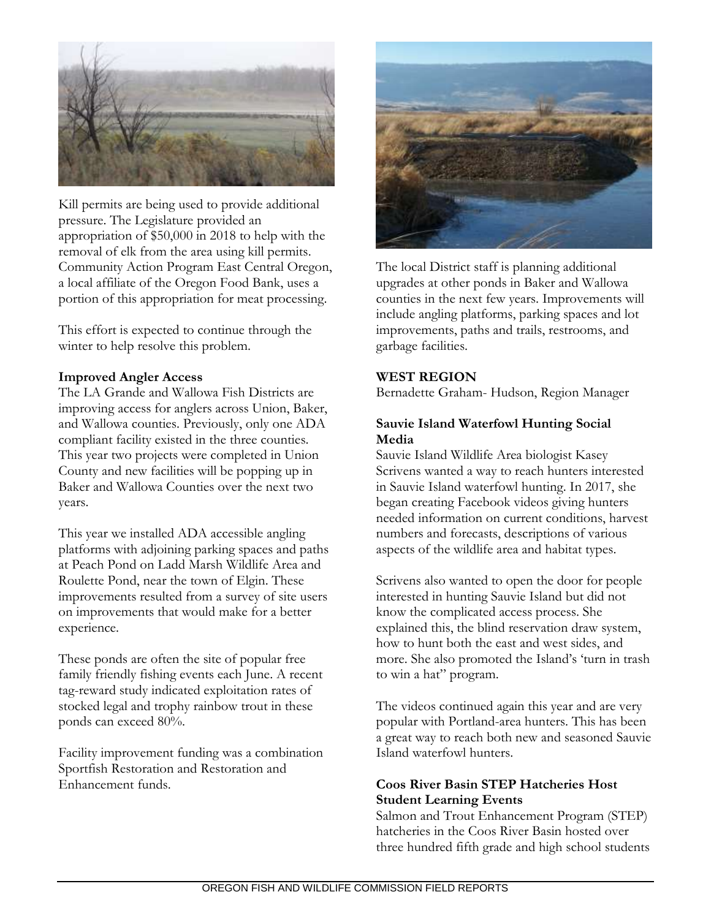

Kill permits are being used to provide additional pressure. The Legislature provided an appropriation of \$50,000 in 2018 to help with the removal of elk from the area using kill permits. Community Action Program East Central Oregon, a local affiliate of the Oregon Food Bank, uses a portion of this appropriation for meat processing.

This effort is expected to continue through the winter to help resolve this problem.

### **Improved Angler Access**

The LA Grande and Wallowa Fish Districts are improving access for anglers across Union, Baker, and Wallowa counties. Previously, only one ADA compliant facility existed in the three counties. This year two projects were completed in Union County and new facilities will be popping up in Baker and Wallowa Counties over the next two years.

This year we installed ADA accessible angling platforms with adjoining parking spaces and paths at Peach Pond on Ladd Marsh Wildlife Area and Roulette Pond, near the town of Elgin. These improvements resulted from a survey of site users on improvements that would make for a better experience.

These ponds are often the site of popular free family friendly fishing events each June. A recent tag-reward study indicated exploitation rates of stocked legal and trophy rainbow trout in these ponds can exceed 80%.

Facility improvement funding was a combination Sportfish Restoration and Restoration and Enhancement funds.



The local District staff is planning additional upgrades at other ponds in Baker and Wallowa counties in the next few years. Improvements will include angling platforms, parking spaces and lot improvements, paths and trails, restrooms, and garbage facilities.

# **WEST REGION**

Bernadette Graham- Hudson, Region Manager

### **Sauvie Island Waterfowl Hunting Social Media**

Sauvie Island Wildlife Area biologist Kasey Scrivens wanted a way to reach hunters interested in Sauvie Island waterfowl hunting. In 2017, she began creating Facebook videos giving hunters needed information on current conditions, harvest numbers and forecasts, descriptions of various aspects of the wildlife area and habitat types.

Scrivens also wanted to open the door for people interested in hunting Sauvie Island but did not know the complicated access process. She explained this, the blind reservation draw system, how to hunt both the east and west sides, and more. She also promoted the Island's 'turn in trash to win a hat" program.

The videos continued again this year and are very popular with Portland-area hunters. This has been a great way to reach both new and seasoned Sauvie Island waterfowl hunters.

### **Coos River Basin STEP Hatcheries Host Student Learning Events**

Salmon and Trout Enhancement Program (STEP) hatcheries in the Coos River Basin hosted over three hundred fifth grade and high school students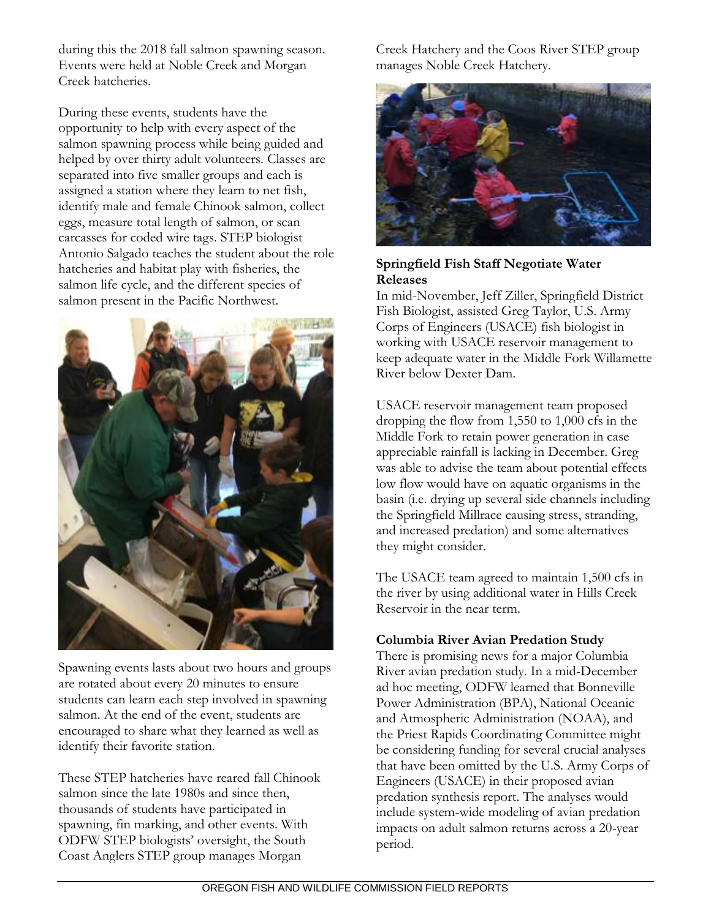during this the 2018 fall salmon spawning season. Events were held at Noble Creek and Morgan Creek hatcheries.

During these events, students have the opportunity to help with every aspect of the salmon spawning process while being guided and helped by over thirty adult volunteers. Classes are separated into five smaller groups and each is assigned a station where they learn to net fish, identify male and female Chinook salmon, collect eggs, measure total length of salmon, or scan carcasses for coded wire tags. STEP biologist Antonio Salgado teaches the student about the role hatcheries and habitat play with fisheries, the salmon life cycle, and the different species of salmon present in the Pacific Northwest.



Spawning events lasts about two hours and groups are rotated about every 20 minutes to ensure students can learn each step involved in spawning salmon. At the end of the event, students are encouraged to share what they learned as well as identify their favorite station.

These STEP hatcheries have reared fall Chinook salmon since the late 1980s and since then. thousands of students have participated in spawning, fin marking, and other events. With ODFW STEP biologists' oversight, the South Coast Anglers STEP group manages Morgan

Creek Hatchery and the Coos River STEP group manages Noble Creek Hatchery.



### **Springfield Fish Staff Negotiate Water Releases**

In mid-November, Jeff Ziller, Springfield District Fish Biologist, assisted Greg Taylor, U.S. Army Corps of Engineers (USACE) fish biologist in working with USACE reservoir management to keep adequate water in the Middle Fork Willamette River below Dexter Dam.

USACE reservoir management team proposed dropping the flow from 1,550 to 1,000 cfs in the Middle Fork to retain power generation in case appreciable rainfall is lacking in December. Greg was able to advise the team about potential effects low flow would have on aquatic organisms in the basin (i.e. drying up several side channels including the Springfield Millrace causing stress, stranding, and increased predation) and some alternatives they might consider.

The USACE team agreed to maintain 1,500 cfs in the river by using additional water in Hills Creek Reservoir in the near term.

# **Columbia River Avian Predation Study**

There is promising news for a major Columbia River avian predation study. In a mid-December ad hoc meeting, ODFW learned that Bonneville Power Administration (BPA), National Oceanic and Atmospheric Administration (NOAA), and the Priest Rapids Coordinating Committee might be considering funding for several crucial analyses that have been omitted by the U.S. Army Corps of Engineers (USACE) in their proposed avian predation synthesis report. The analyses would include system-wide modeling of avian predation impacts on adult salmon returns across a 20-year period.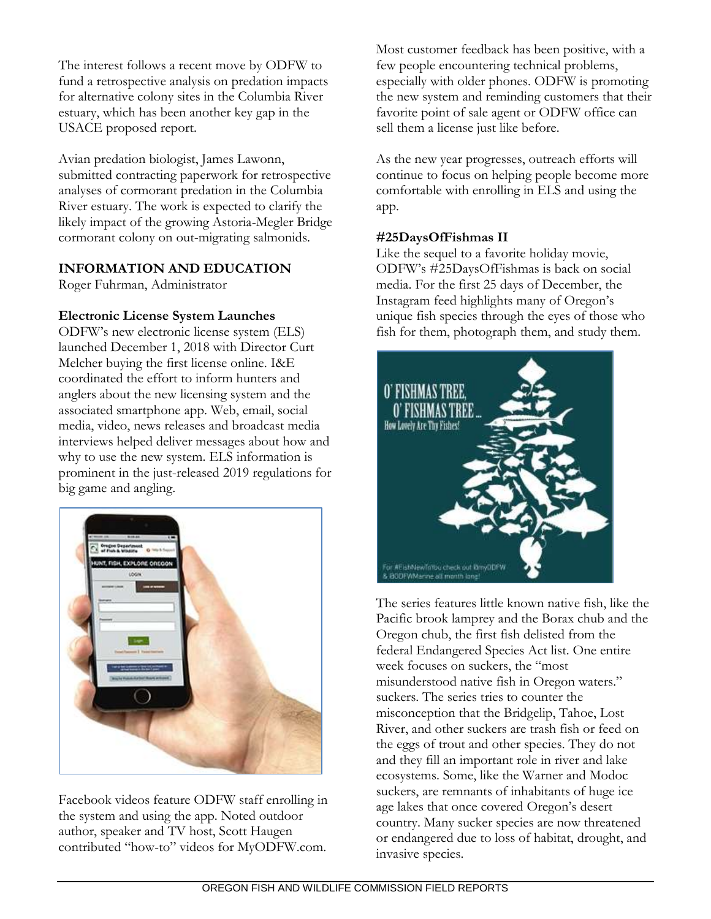The interest follows a recent move by ODFW to fund a retrospective analysis on predation impacts for alternative colony sites in the Columbia River estuary, which has been another key gap in the USACE proposed report.

Avian predation biologist, James Lawonn, submitted contracting paperwork for retrospective analyses of cormorant predation in the Columbia River estuary. The work is expected to clarify the likely impact of the growing Astoria-Megler Bridge cormorant colony on out-migrating salmonids.

# **INFORMATION AND EDUCATION**

Roger Fuhrman, Administrator

### **Electronic License System Launches**

ODFW's new electronic license system (ELS) launched December 1, 2018 with Director Curt Melcher buying the first license online. I&E coordinated the effort to inform hunters and anglers about the new licensing system and the associated smartphone app. Web, email, social media, video, news releases and broadcast media interviews helped deliver messages about how and why to use the new system. ELS information is prominent in the just-released 2019 regulations for big game and angling.



Facebook videos feature ODFW staff enrolling in the system and using the app. Noted outdoor author, speaker and TV host, Scott Haugen contributed "how-to" videos for MyODFW.com.

Most customer feedback has been positive, with a few people encountering technical problems, especially with older phones. ODFW is promoting the new system and reminding customers that their favorite point of sale agent or ODFW office can sell them a license just like before.

As the new year progresses, outreach efforts will continue to focus on helping people become more comfortable with enrolling in ELS and using the app.

#### **#25DaysOfFishmas II**

Like the sequel to a favorite holiday movie, ODFW's #25DaysOfFishmas is back on social media. For the first 25 days of December, the Instagram feed highlights many of Oregon's unique fish species through the eyes of those who fish for them, photograph them, and study them.



The series features little known native fish, like the Pacific brook lamprey and the Borax chub and the Oregon chub, the first fish delisted from the federal Endangered Species Act list. One entire week focuses on suckers, the "most misunderstood native fish in Oregon waters." suckers. The series tries to counter the misconception that the Bridgelip, Tahoe, Lost River, and other suckers are trash fish or feed on the eggs of trout and other species. They do not and they fill an important role in river and lake ecosystems. Some, like the Warner and Modoc suckers, are remnants of inhabitants of huge ice age lakes that once covered Oregon's desert country. Many sucker species are now threatened or endangered due to loss of habitat, drought, and invasive species.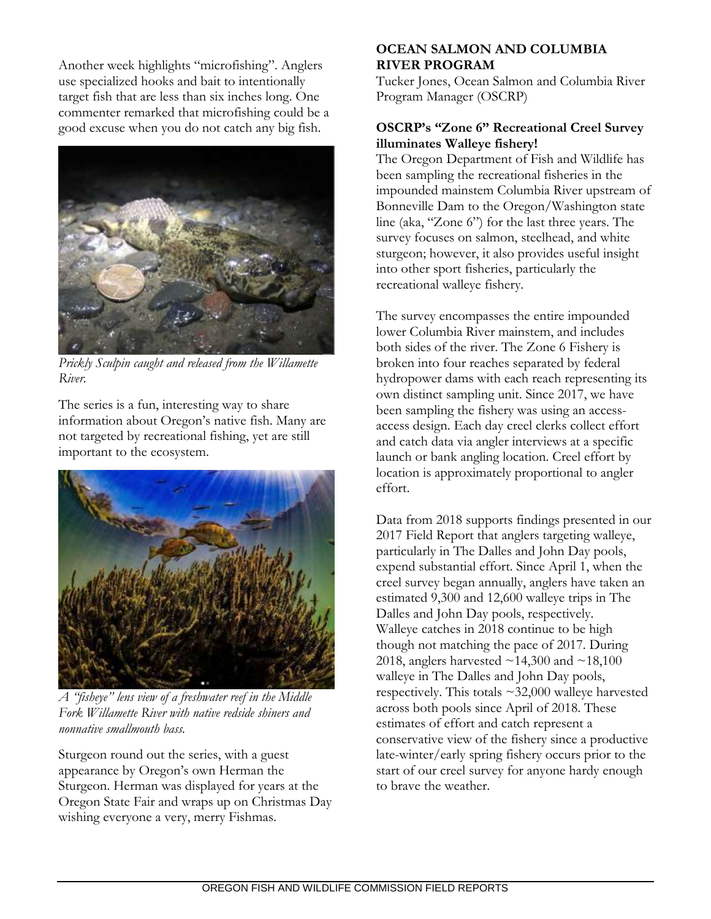Another week highlights "microfishing". Anglers use specialized hooks and bait to intentionally target fish that are less than six inches long. One commenter remarked that microfishing could be a good excuse when you do not catch any big fish.



*Prickly Sculpin caught and released from the Willamette River.* 

The series is a fun, interesting way to share information about Oregon's native fish. Many are not targeted by recreational fishing, yet are still important to the ecosystem.



*A "fisheye" lens view of a freshwater reef in the Middle Fork Willamette River with native redside shiners and nonnative smallmouth bass.*

Sturgeon round out the series, with a guest appearance by Oregon's own Herman the Sturgeon. Herman was displayed for years at the Oregon State Fair and wraps up on Christmas Day wishing everyone a very, merry Fishmas.

# **OCEAN SALMON AND COLUMBIA RIVER PROGRAM**

Tucker Jones, Ocean Salmon and Columbia River Program Manager (OSCRP)

# **OSCRP's "Zone 6" Recreational Creel Survey illuminates Walleye fishery!**

The Oregon Department of Fish and Wildlife has been sampling the recreational fisheries in the impounded mainstem Columbia River upstream of Bonneville Dam to the Oregon/Washington state line (aka, "Zone 6") for the last three years. The survey focuses on salmon, steelhead, and white sturgeon; however, it also provides useful insight into other sport fisheries, particularly the recreational walleye fishery.

The survey encompasses the entire impounded lower Columbia River mainstem, and includes both sides of the river. The Zone 6 Fishery is broken into four reaches separated by federal hydropower dams with each reach representing its own distinct sampling unit. Since 2017, we have been sampling the fishery was using an accessaccess design. Each day creel clerks collect effort and catch data via angler interviews at a specific launch or bank angling location. Creel effort by location is approximately proportional to angler effort.

Data from 2018 supports findings presented in our 2017 Field Report that anglers targeting walleye, particularly in The Dalles and John Day pools, expend substantial effort. Since April 1, when the creel survey began annually, anglers have taken an estimated 9,300 and 12,600 walleye trips in The Dalles and John Day pools, respectively. Walleye catches in 2018 continue to be high though not matching the pace of 2017. During 2018, anglers harvested  $\sim$ 14,300 and  $\sim$ 18,100 walleye in The Dalles and John Day pools, respectively. This totals  $\sim$ 32,000 walleye harvested across both pools since April of 2018. These estimates of effort and catch represent a conservative view of the fishery since a productive late-winter/early spring fishery occurs prior to the start of our creel survey for anyone hardy enough to brave the weather.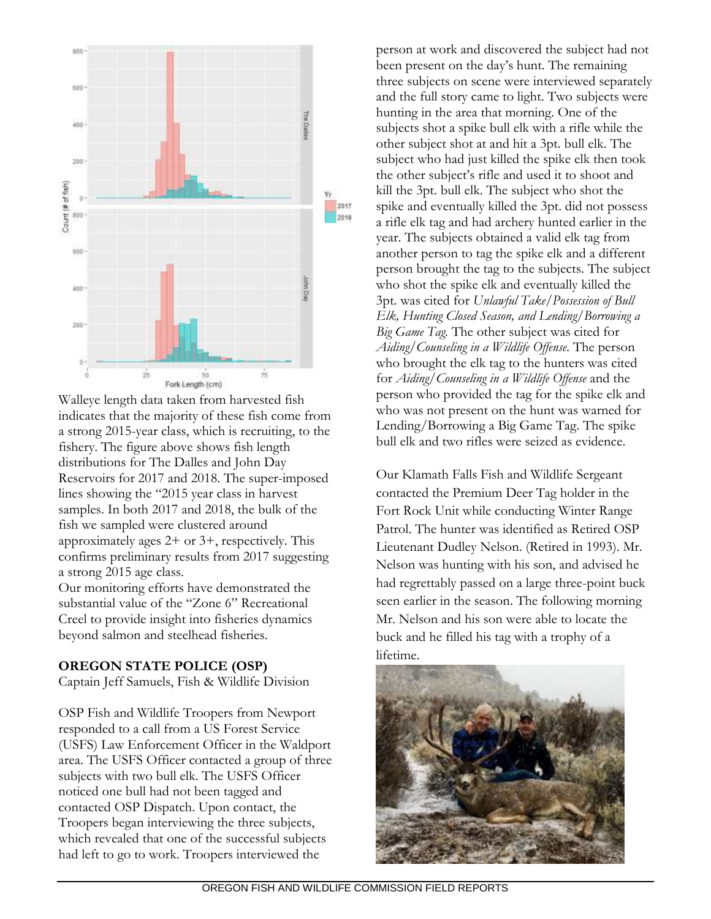

Walleye length data taken from harvested fish indicates that the majority of these fish come from a strong 2015-year class, which is recruiting, to the fishery. The figure above shows fish length distributions for The Dalles and John Day Reservoirs for 2017 and 2018. The super-imposed lines showing the "2015 year class in harvest samples. In both 2017 and 2018, the bulk of the fish we sampled were clustered around approximately ages 2+ or 3+, respectively. This confirms preliminary results from 2017 suggesting a strong 2015 age class.

Our monitoring efforts have demonstrated the substantial value of the "Zone 6" Recreational Creel to provide insight into fisheries dynamics beyond salmon and steelhead fisheries.

#### **OREGON STATE POLICE (OSP)**

Captain Jeff Samuels, Fish & Wildlife Division

OSP Fish and Wildlife Troopers from Newport responded to a call from a US Forest Service (USFS) Law Enforcement Officer in the Waldport area. The USFS Officer contacted a group of three subjects with two bull elk. The USFS Officer noticed one bull had not been tagged and contacted OSP Dispatch. Upon contact, the Troopers began interviewing the three subjects, which revealed that one of the successful subjects had left to go to work. Troopers interviewed the

person at work and discovered the subject had not been present on the day's hunt. The remaining three subjects on scene were interviewed separately and the full story came to light. Two subjects were hunting in the area that morning. One of the subjects shot a spike bull elk with a rifle while the other subject shot at and hit a 3pt. bull elk. The subject who had just killed the spike elk then took the other subject's rifle and used it to shoot and kill the 3pt. bull elk. The subject who shot the spike and eventually killed the 3pt. did not possess a rifle elk tag and had archery hunted earlier in the year. The subjects obtained a valid elk tag from another person to tag the spike elk and a different person brought the tag to the subjects. The subject who shot the spike elk and eventually killed the 3pt. was cited for *Unlawful Take/Possession of Bull Elk, Hunting Closed Season, and Lending/Borrowing a Big Game Tag.* The other subject was cited for *Aiding/Counseling in a Wildlife Offense.* The person who brought the elk tag to the hunters was cited for *Aiding/Counseling in a Wildlife Offense* and the person who provided the tag for the spike elk and who was not present on the hunt was warned for Lending/Borrowing a Big Game Tag. The spike bull elk and two rifles were seized as evidence.

Our Klamath Falls Fish and Wildlife Sergeant contacted the Premium Deer Tag holder in the Fort Rock Unit while conducting Winter Range Patrol. The hunter was identified as Retired OSP Lieutenant Dudley Nelson. (Retired in 1993). Mr. Nelson was hunting with his son, and advised he had regrettably passed on a large three-point buck seen earlier in the season. The following morning Mr. Nelson and his son were able to locate the buck and he filled his tag with a trophy of a lifetime.

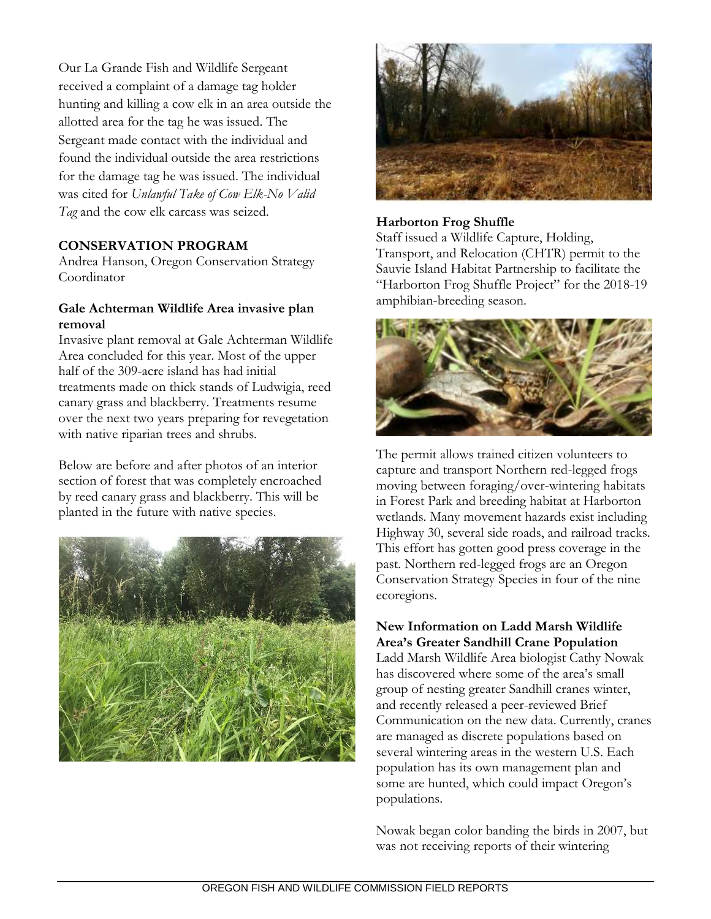Our La Grande Fish and Wildlife Sergeant received a complaint of a damage tag holder hunting and killing a cow elk in an area outside the allotted area for the tag he was issued. The Sergeant made contact with the individual and found the individual outside the area restrictions for the damage tag he was issued. The individual was cited for *Unlawful Take of Cow Elk-No Valid Tag* and the cow elk carcass was seized.

### **CONSERVATION PROGRAM**

Andrea Hanson, Oregon Conservation Strategy Coordinator

### **Gale Achterman Wildlife Area invasive plan removal**

Invasive plant removal at Gale Achterman Wildlife Area concluded for this year. Most of the upper half of the 309-acre island has had initial treatments made on thick stands of Ludwigia, reed canary grass and blackberry. Treatments resume over the next two years preparing for revegetation with native riparian trees and shrubs.

Below are before and after photos of an interior section of forest that was completely encroached by reed canary grass and blackberry. This will be planted in the future with native species.





#### **Harborton Frog Shuffle**

Staff issued a Wildlife Capture, Holding, Transport, and Relocation (CHTR) permit to the Sauvie Island Habitat Partnership to facilitate the "Harborton Frog Shuffle Project" for the 2018-19 amphibian-breeding season.



The permit allows trained citizen volunteers to capture and transport Northern red-legged frogs moving between foraging/over-wintering habitats in Forest Park and breeding habitat at Harborton wetlands. Many movement hazards exist including Highway 30, several side roads, and railroad tracks. This effort has gotten good press coverage in the past. Northern red-legged frogs are an Oregon Conservation Strategy Species in four of the nine ecoregions.

### **New Information on Ladd Marsh Wildlife Area's Greater Sandhill Crane Population**

Ladd Marsh Wildlife Area biologist Cathy Nowak has discovered where some of the area's small group of nesting greater Sandhill cranes winter, and recently released a peer-reviewed Brief Communication on the new data. Currently, cranes are managed as discrete populations based on several wintering areas in the western U.S. Each population has its own management plan and some are hunted, which could impact Oregon's populations.

Nowak began color banding the birds in 2007, but was not receiving reports of their wintering